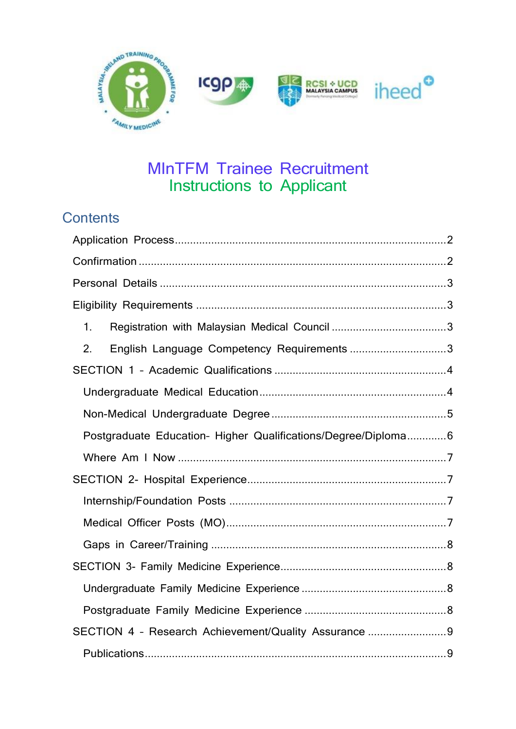

# MInTFM Trainee Recruitment Instructions to Applicant

# **Contents**

| 1.                                                             |
|----------------------------------------------------------------|
| English Language Competency Requirements 3<br>2.               |
|                                                                |
|                                                                |
|                                                                |
| Postgraduate Education- Higher Qualifications/Degree/Diploma 6 |
|                                                                |
|                                                                |
|                                                                |
|                                                                |
|                                                                |
|                                                                |
|                                                                |
|                                                                |
| SECTION 4 - Research Achievement/Quality Assurance 9           |
|                                                                |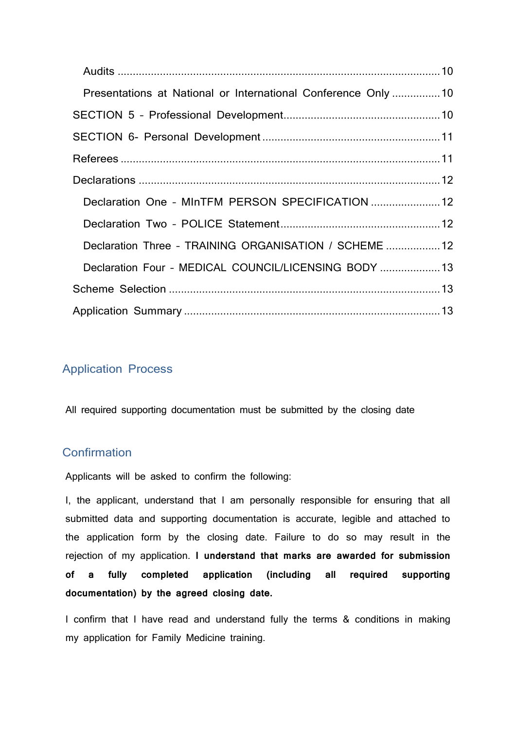| Presentations at National or International Conference Only 10 |  |
|---------------------------------------------------------------|--|
|                                                               |  |
|                                                               |  |
|                                                               |  |
|                                                               |  |
| Declaration One - MInTFM PERSON SPECIFICATION  12             |  |
|                                                               |  |
| Declaration Three - TRAINING ORGANISATION / SCHEME  12        |  |
| Declaration Four - MEDICAL COUNCIL/LICENSING BODY  13         |  |
|                                                               |  |
|                                                               |  |

## <span id="page-1-0"></span>Application Process

All required supporting documentation must be submitted by the closing date

## <span id="page-1-1"></span>**Confirmation**

Applicants will be asked to confirm the following:

I, the applicant, understand that I am personally responsible for ensuring that all submitted data and supporting documentation is accurate, legible and attached to the application form by the closing date. Failure to do so may result in the rejection of my application. **I understand that marks are awarded for submission of a fully completed application (including all required supporting documentation) by the agreed closing date.**

I confirm that I have read and understand fully the terms & conditions in making my application for Family Medicine training.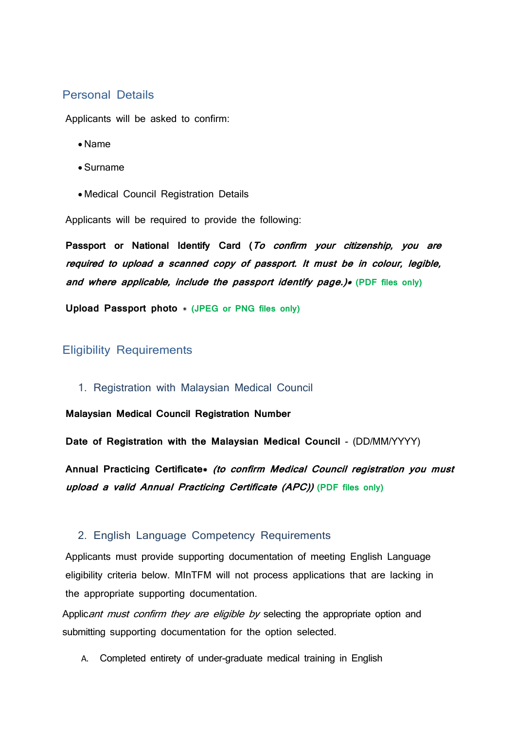### <span id="page-2-0"></span>Personal Details

Applicants will be asked to confirm:

- Name
- Surname
- Medical Council Registration Details

Applicants will be required to provide the following:

**Passport or National Identify Card (To confirm your citizenship, you are required to upload a scanned copy of passport. It must be in colour, legible, and where applicable, include the passport identify page.)\* (PDF files only)**

**Upload Passport photo** \* **(JPEG or PNG files only)**

#### <span id="page-2-1"></span>Eligibility Requirements

<span id="page-2-2"></span>1. Registration with Malaysian Medical Council

**Malaysian Medical Council Registration Number** 

**Date of Registration with the Malaysian Medical Council** - (DD/MM/YYYY)

**Annual Practicing Certificate\* (to confirm Medical Council registration you must upload a valid Annual Practicing Certificate (APC)) (PDF files only)**

#### <span id="page-2-3"></span>2. English Language Competency Requirements

Applicants must provide supporting documentation of meeting English Language eligibility criteria below. MInTFM will not process applications that are lacking in the appropriate supporting documentation.

Applicant must confirm they are eligible by selecting the appropriate option and submitting supporting documentation for the option selected.

A. Completed entirety of under-graduate medical training in English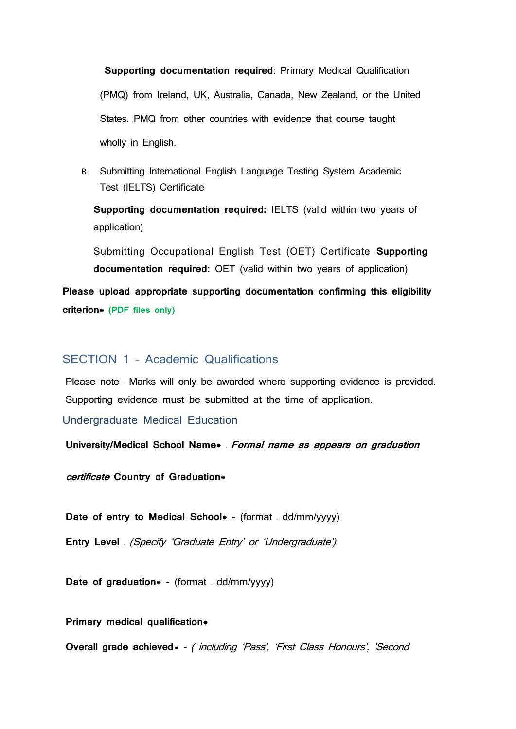**Supporting documentation required**: Primary Medical Qualification (PMQ) from Ireland, UK, Australia, Canada, New Zealand, or the United States. PMQ from other countries with evidence that course taught wholly in English.

B. Submitting International English Language Testing System Academic Test (IELTS) Certificate

**Supporting documentation required:** IELTS (valid within two years of application)

Submitting Occupational English Test (OET) Certificate **Supporting documentation required:** OET (valid within two years of application)

**Please upload appropriate supporting documentation confirming this eligibility criterion\* (PDF files only)**

#### <span id="page-3-0"></span>SECTION 1 – Academic Qualifications

Please note – Marks will only be awarded where supporting evidence is provided. Supporting evidence must be submitted at the time of application.

<span id="page-3-1"></span>Undergraduate Medical Education

**University/Medical School Name\* – Formal name as appears on graduation** 

**certificate Country of Graduation\***

**Date of entry to Medical School\* - (format - dd/mm/yyyy)** 

**Entry Level** – (Specify 'Graduate Entry' or 'Undergraduate')

**Date of graduation**\* - (format ed/mm/yyyy)

**Primary medical qualification\***

**Overall grade achieved** \* - ( including 'Pass', 'First Class Honours', 'Second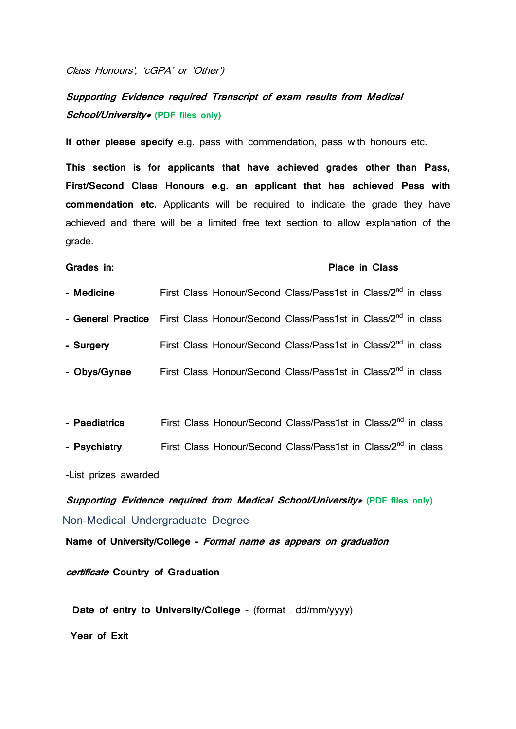Class Honours', 'cGPA' or 'Other')

## **Supporting Evidence required Transcript of exam results from Medical School/University\* (PDF files only)**

**If other please specify** e.g. pass with commendation, pass with honours etc.

**This section is for applicants that have achieved grades other than Pass, First/Second Class Honours e.g. an applicant that has achieved Pass with commendation etc.** Applicants will be required to indicate the grade they have achieved and there will be a limited free text section to allow explanation of the grade.

#### **Grades in: Place in Class**

- **- Medicine** First Class Honour/Second Class/Pass1st in Class/2nd in class
- **- General Practice** First Class Honour/Second Class/Pass1st in Class/2nd in class
- **- Surgery** First Class Honour/Second Class/Pass1st in Class/2nd in class
- **- Obys/Gynae** First Class Honour/Second Class/Pass1st in Class/2nd in class
- **- Paediatrics** First Class Honour/Second Class/Pass1st in Class/2nd in class
- **- Psychiatry** First Class Honour/Second Class/Pass1st in Class/2nd in class

-List prizes awarded

<span id="page-4-0"></span>**Supporting Evidence required from Medical School/University\* (PDF files only)** Non-Medical Undergraduate Degree

**Name of University/College - Formal name as appears on graduation** 

**certificate Country of Graduation**

 **Date of entry to University/College** - (format – dd/mm/yyyy)

**Year of Exit**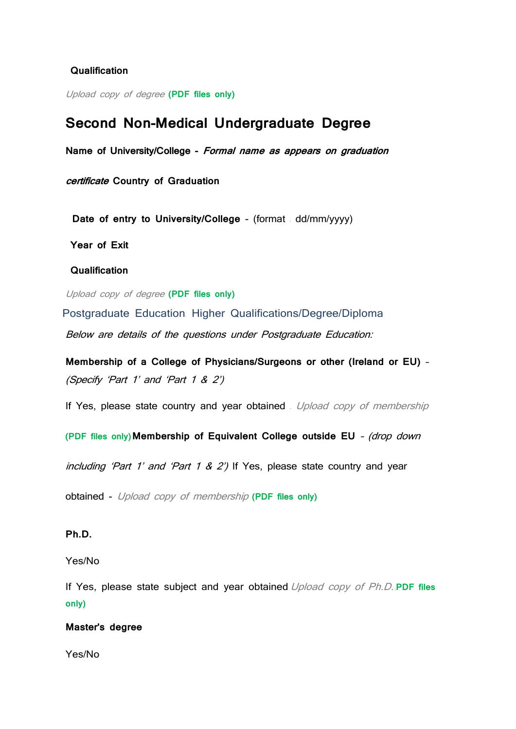#### **Qualification**

Upload copy of degree **(PDF files only)**

## **Second Non-Medical Undergraduate Degree**

**Name of University/College - Formal name as appears on graduation** 

**certificate Country of Graduation**

 **Date of entry to University/College** - (format – dd/mm/yyyy)

**Year of Exit**

**Qualification**

Upload copy of degree **(PDF files only)**

<span id="page-5-0"></span>Postgraduate Education– Higher Qualifications/Degree/Diploma Below are details of the questions under Postgraduate Education:

**Membership of a College of Physicians/Surgeons or other (Ireland or EU)** – (Specify 'Part 1' and 'Part 1 & 2')

If Yes, please state country and year obtained *Upload copy of membership* 

**(PDF files only)Membership of Equivalent College outside EU** – (drop down

including 'Part 1' and 'Part 1 & 2') If Yes, please state country and year

obtained - Upload copy of membership **(PDF files only)** 

#### **Ph.D.**

Yes/No

If Yes, please state subject and year obtained–Upload copy of Ph.D. (**PDF files only)**

#### **Master's degree**

Yes/No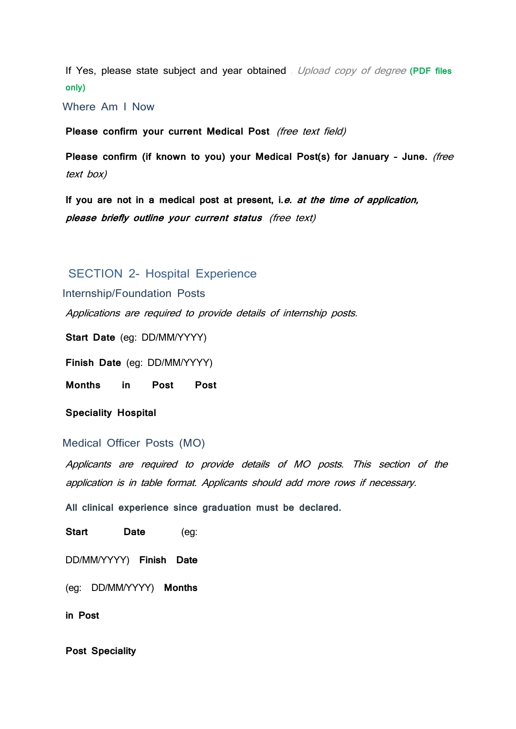If Yes, please state subject and year obtained – Upload copy of degree **(PDF files only)**

<span id="page-6-0"></span>Where Am I Now

Please confirm your current Medical Post (free text field)

**Please confirm (if known to you) your Medical Post(s) for January – June.** (free text box)

**If you are not in a medical post at present, i.e. at the time of application,**  please briefly outline your current status (free text)

#### <span id="page-6-1"></span>SECTION 2- Hospital Experience

<span id="page-6-2"></span>Internship/Foundation Posts

Applications are required to provide details of internship posts.

**Start Date** (eg: DD/MM/YYYY)

**Finish Date** (eg: DD/MM/YYYY)

**Months in Post Post** 

**Speciality Hospital** 

#### <span id="page-6-3"></span>Medical Officer Posts (MO)

Applicants are required to provide details of MO posts. This section of the application is in table format. Applicants should add more rows if necessary.

**All clinical experience since graduation must be declared.**

**Start Date** (eg:

DD/MM/YYYY) **Finish Date** 

(eg: DD/MM/YYYY) **Months** 

**in Post**

**Post Speciality**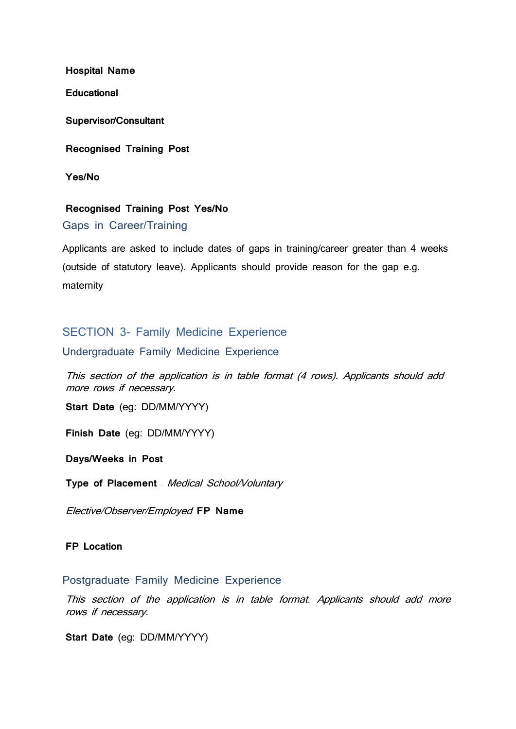**Hospital Name**

**Educational** 

**Supervisor/Consultant**

**Recognised Training Post** 

**Yes/No**

#### **Recognised Training Post Yes/No**

<span id="page-7-0"></span>Gaps in Career/Training

Applicants are asked to include dates of gaps in training/career greater than 4 weeks (outside of statutory leave). Applicants should provide reason for the gap e.g. maternity

### <span id="page-7-1"></span>SECTION 3- Family Medicine Experience

<span id="page-7-2"></span>Undergraduate Family Medicine Experience

This section of the application is in table format (4 rows). Applicants should add more rows if necessary.

**Start Date** (eg: DD/MM/YYYY)

**Finish Date** (eg: DD/MM/YYYY)

**Days/Weeks in Post**

**Type of Placement –** Medical School/Voluntary

Elective/Observer/Employed **FP Name**

#### **FP Location**

#### <span id="page-7-3"></span>Postgraduate Family Medicine Experience

This section of the application is in table format. Applicants should add more rows if necessary.

**Start Date** (eg: DD/MM/YYYY)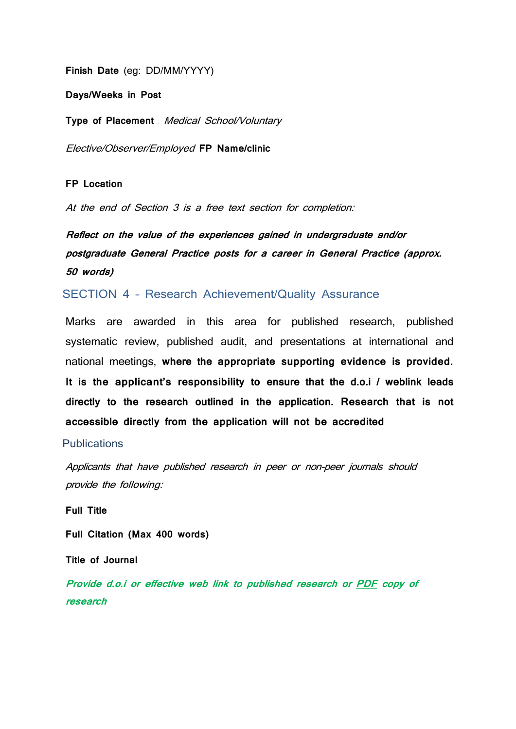**Finish Date** (eg: DD/MM/YYYY)

**Days/Weeks in Post**

**Type of Placement –** Medical School/Voluntary

Elective/Observer/Employed **FP Name/clinic**

#### **FP Location**

At the end of Section 3 is a free text section for completion:

**Reflect on the value of the experiences gained in undergraduate and/or postgraduate General Practice posts for a career in General Practice (approx. 50 words)**

<span id="page-8-0"></span>SECTION 4 – Research Achievement/Quality Assurance

Marks are awarded in this area for published research, published systematic review, published audit, and presentations at international and national meetings, **where the appropriate supporting evidence is provided. It is the applicant's responsibility to ensure that the d.o.i / weblink leads directly to the research outlined in the application. Research that is not accessible directly from the application will not be accredited**

#### <span id="page-8-1"></span>**Publications**

Applicants that have published research in peer or non-peer journals should provide the following:

**Full Title**

**Full Citation (Max 400 words)**

**Title of Journal**

**Provide d.o.i or effective web link to published research or PDF copy of research**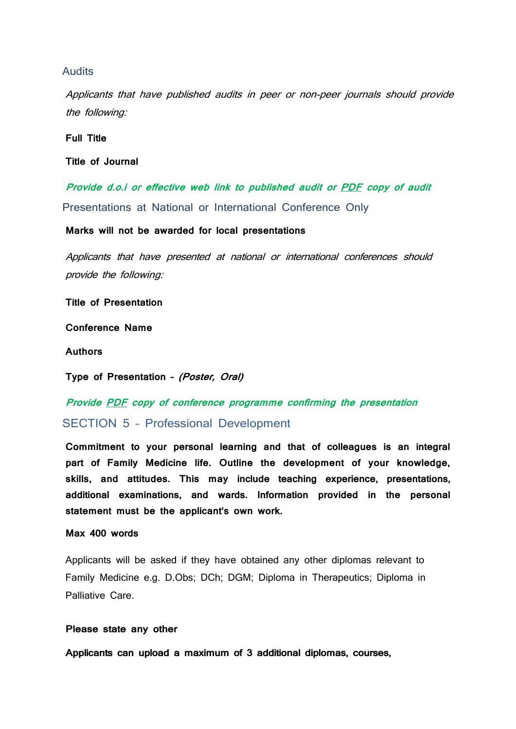#### <span id="page-9-0"></span>Audits

Applicants that have published audits in peer or non-peer journals should provide the following:

**Full Title**

**Title of Journal**

<span id="page-9-1"></span>**Provide d.o.i or effective web link to published audit or PDF copy of audit** Presentations at National or International Conference Only

**Marks will not be awarded for local presentations**

Applicants that have presented at national or international conferences should provide the following:

**Title of Presentation**

**Conference Name**

**Authors**

**Type of Presentation – (Poster, Oral)**

**Provide PDF copy of conference programme confirming the presentation**

<span id="page-9-2"></span>SECTION 5 – Professional Development

**Commitment to your personal learning and that of colleagues is an integral part of Family Medicine life. Outline the development of your knowledge, skills, and attitudes. This may include teaching experience, presentations, additional examinations, and wards. Information provided in the personal statement must be the applicant's own work.**

#### **Max 400 words**

Applicants will be asked if they have obtained any other diplomas relevant to Family Medicine e.g. D.Obs; DCh; DGM; Diploma in Therapeutics; Diploma in Palliative Care.

#### **Please state any other**

**Applicants can upload a maximum of 3 additional diplomas, courses,**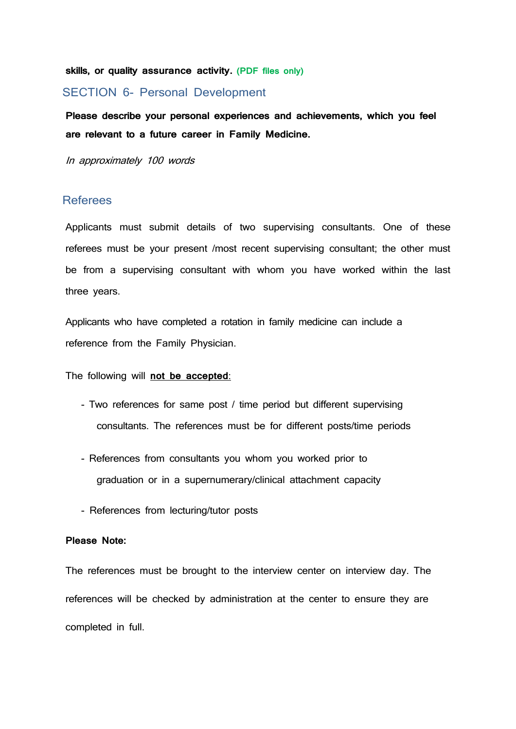**skills, or quality assurance activity. (PDF files only)**

#### <span id="page-10-0"></span>SECTION 6- Personal Development

**Please describe your personal experiences and achievements, which you feel are relevant to a future career in Family Medicine.**

In approximately 100 words

#### <span id="page-10-1"></span>Referees

Applicants must submit details of two supervising consultants. One of these referees must be your present /most recent supervising consultant; the other must be from a supervising consultant with whom you have worked within the last three years.

Applicants who have completed a rotation in family medicine can include a reference from the Family Physician.

The following will **not be accepted**:

- Two references for same post / time period but different supervising consultants. The references must be for different posts/time periods
- References from consultants you whom you worked prior to graduation or in a supernumerary/clinical attachment capacity
- References from lecturing/tutor posts

#### **Please Note:**

The references must be brought to the interview center on interview day. The references will be checked by administration at the center to ensure they are completed in full.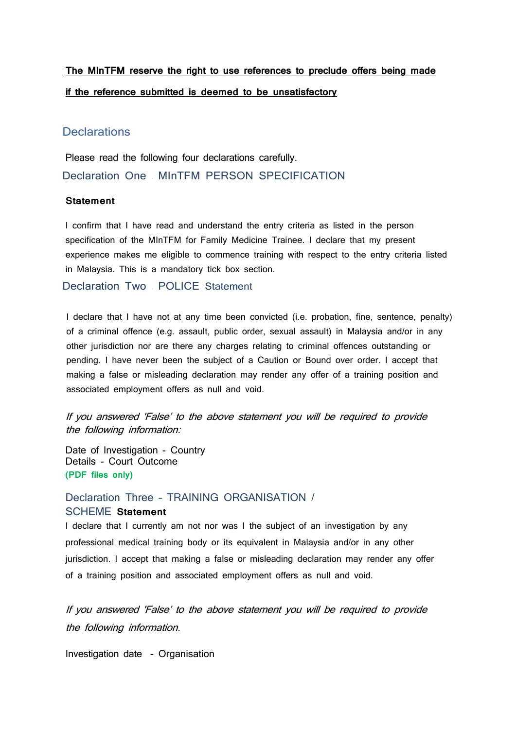## **The MInTFM reserve the right to use references to preclude offers being made if the reference submitted is deemed to be unsatisfactory**

#### <span id="page-11-0"></span>**Declarations**

<span id="page-11-1"></span>Please read the following four declarations carefully. Declaration One – MInTFM PERSON SPECIFICATION

#### **Statement**

I confirm that I have read and understand the entry criteria as listed in the person specification of the MInTFM for Family Medicine Trainee. I declare that my present experience makes me eligible to commence training with respect to the entry criteria listed in Malaysia. This is a mandatory tick box section.

<span id="page-11-2"></span>Declaration Two – POLICE Statement

I declare that I have not at any time been convicted (i.e. probation, fine, sentence, penalty) of a criminal offence (e.g. assault, public order, sexual assault) in Malaysia and/or in any other jurisdiction nor are there any charges relating to criminal offences outstanding or pending. I have never been the subject of a Caution or Bound over order. I accept that making a false or misleading declaration may render any offer of a training position and associated employment offers as null and void.

If you answered 'False' to the above statement you will be required to provide the following information:

Date of Investigation - Country Details - Court Outcome **(PDF files only)**

## <span id="page-11-3"></span>Declaration Three – TRAINING ORGANISATION /

#### SCHEME **Statement**

I declare that I currently am not nor was I the subject of an investigation by any professional medical training body or its equivalent in Malaysia and/or in any other jurisdiction. I accept that making a false or misleading declaration may render any offer of a training position and associated employment offers as null and void.

If you answered 'False' to the above statement you will be required to provide the following information.

Investigation date - Organisation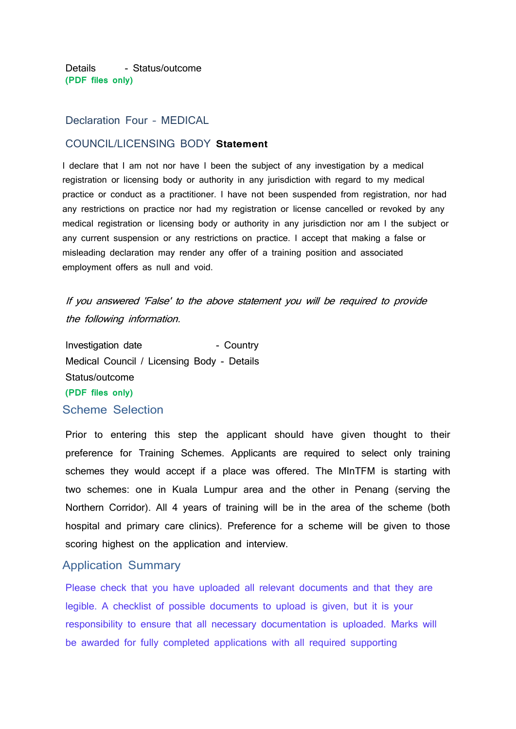Details - Status/outcome **(PDF files only)**

#### <span id="page-12-0"></span>Declaration Four – MEDICAL

#### COUNCIL/LICENSING BODY **Statement**

I declare that I am not nor have I been the subject of any investigation by a medical registration or licensing body or authority in any jurisdiction with regard to my medical practice or conduct as a practitioner. I have not been suspended from registration, nor had any restrictions on practice nor had my registration or license cancelled or revoked by any medical registration or licensing body or authority in any jurisdiction nor am I the subject or any current suspension or any restrictions on practice. I accept that making a false or misleading declaration may render any offer of a training position and associated employment offers as null and void.

## If you answered 'False' to the above statement you will be required to provide the following information.

Investigation date The Sountry - Country Medical Council / Licensing Body - Details Status/outcome **(PDF files only)** Scheme Selection

<span id="page-12-1"></span>Prior to entering this step the applicant should have given thought to their preference for Training Schemes. Applicants are required to select only training schemes they would accept if a place was offered. The MInTFM is starting with two schemes: one in Kuala Lumpur area and the other in Penang (serving the Northern Corridor). All 4 years of training will be in the area of the scheme (both hospital and primary care clinics). Preference for a scheme will be given to those scoring highest on the application and interview.

#### <span id="page-12-2"></span>Application Summary

Please check that you have uploaded all relevant documents and that they are legible. A checklist of possible documents to upload is given, but it is your responsibility to ensure that all necessary documentation is uploaded. Marks will be awarded for fully completed applications with all required supporting